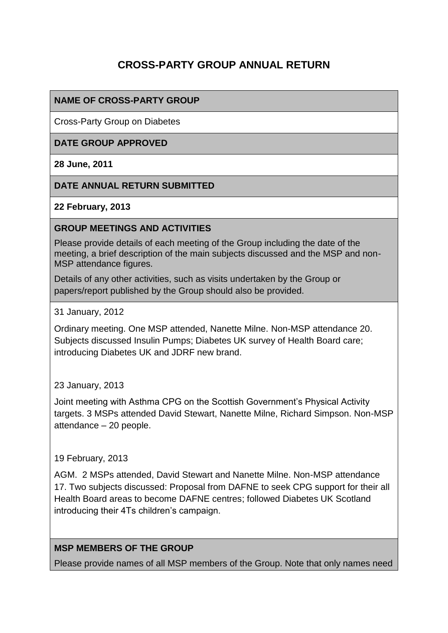# **CROSS-PARTY GROUP ANNUAL RETURN**

## **NAME OF CROSS-PARTY GROUP**

Cross-Party Group on Diabetes

#### **DATE GROUP APPROVED**

**28 June, 2011**

#### **DATE ANNUAL RETURN SUBMITTED**

**22 February, 2013**

#### **GROUP MEETINGS AND ACTIVITIES**

Please provide details of each meeting of the Group including the date of the meeting, a brief description of the main subjects discussed and the MSP and non-MSP attendance figures.

Details of any other activities, such as visits undertaken by the Group or papers/report published by the Group should also be provided.

31 January, 2012

Ordinary meeting. One MSP attended, Nanette Milne. Non-MSP attendance 20. Subjects discussed Insulin Pumps; Diabetes UK survey of Health Board care; introducing Diabetes UK and JDRF new brand.

#### 23 January, 2013

Joint meeting with Asthma CPG on the Scottish Government's Physical Activity targets. 3 MSPs attended David Stewart, Nanette Milne, Richard Simpson. Non-MSP attendance – 20 people.

#### 19 February, 2013

AGM. 2 MSPs attended, David Stewart and Nanette Milne. Non-MSP attendance 17. Two subjects discussed: Proposal from DAFNE to seek CPG support for their all Health Board areas to become DAFNE centres; followed Diabetes UK Scotland introducing their 4Ts children's campaign.

## **MSP MEMBERS OF THE GROUP**

Please provide names of all MSP members of the Group. Note that only names need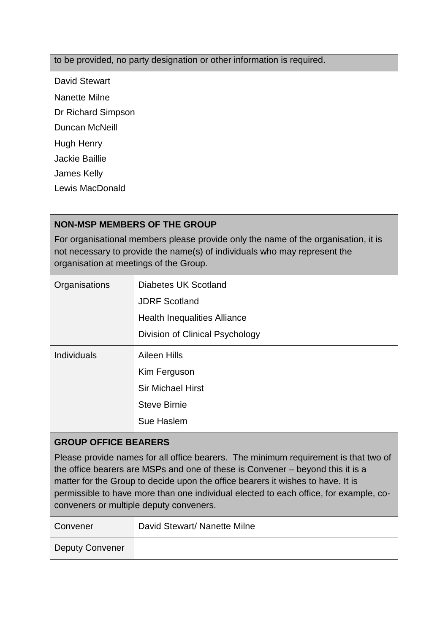## to be provided, no party designation or other information is required.

David Stewart

Nanette Milne

Dr Richard Simpson

Duncan McNeill

Hugh Henry

Jackie Baillie

James Kelly

Lewis MacDonald

# **NON-MSP MEMBERS OF THE GROUP**

For organisational members please provide only the name of the organisation, it is not necessary to provide the name(s) of individuals who may represent the organisation at meetings of the Group.

| Organisations      | Diabetes UK Scotland                |
|--------------------|-------------------------------------|
|                    | <b>JDRF Scotland</b>                |
|                    | <b>Health Inequalities Alliance</b> |
|                    | Division of Clinical Psychology     |
| <b>Individuals</b> | Aileen Hills                        |
|                    | Kim Ferguson                        |
|                    | <b>Sir Michael Hirst</b>            |
|                    | <b>Steve Birnie</b>                 |
|                    | Sue Haslem                          |

## **GROUP OFFICE BEARERS**

Please provide names for all office bearers. The minimum requirement is that two of the office bearers are MSPs and one of these is Convener – beyond this it is a matter for the Group to decide upon the office bearers it wishes to have. It is permissible to have more than one individual elected to each office, for example, coconveners or multiple deputy conveners.

| Convener               | David Stewart/ Nanette Milne |
|------------------------|------------------------------|
| <b>Deputy Convener</b> |                              |